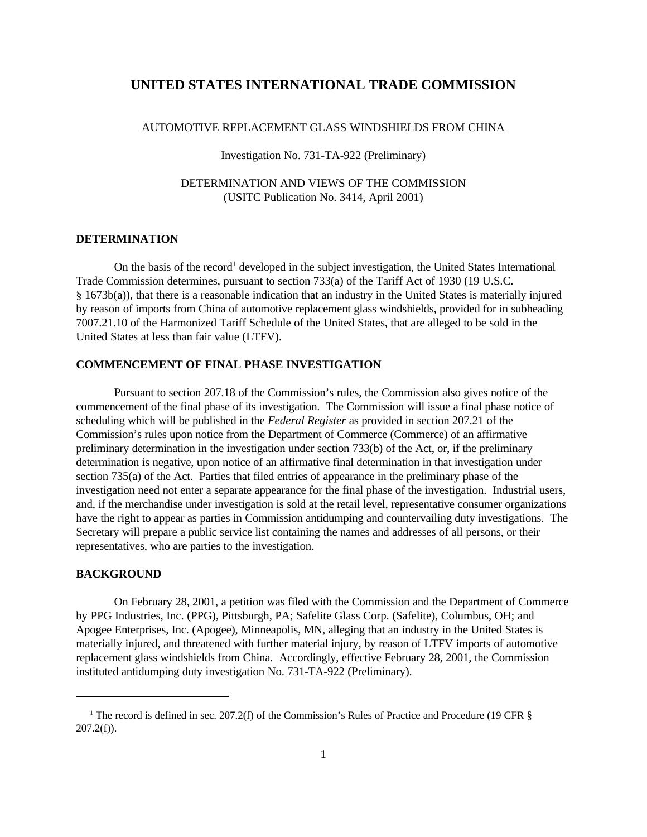# **UNITED STATES INTERNATIONAL TRADE COMMISSION**

## AUTOMOTIVE REPLACEMENT GLASS WINDSHIELDS FROM CHINA

#### Investigation No. 731-TA-922 (Preliminary)

# DETERMINATION AND VIEWS OF THE COMMISSION (USITC Publication No. 3414, April 2001)

### **DETERMINATION**

On the basis of the record<sup>1</sup> developed in the subject investigation, the United States International Trade Commission determines, pursuant to section 733(a) of the Tariff Act of 1930 (19 U.S.C. § 1673b(a)), that there is a reasonable indication that an industry in the United States is materially injured by reason of imports from China of automotive replacement glass windshields, provided for in subheading 7007.21.10 of the Harmonized Tariff Schedule of the United States, that are alleged to be sold in the United States at less than fair value (LTFV).

#### **COMMENCEMENT OF FINAL PHASE INVESTIGATION**

Pursuant to section 207.18 of the Commission's rules, the Commission also gives notice of the commencement of the final phase of its investigation. The Commission will issue a final phase notice of scheduling which will be published in the *Federal Register* as provided in section 207.21 of the Commission's rules upon notice from the Department of Commerce (Commerce) of an affirmative preliminary determination in the investigation under section 733(b) of the Act, or, if the preliminary determination is negative, upon notice of an affirmative final determination in that investigation under section 735(a) of the Act. Parties that filed entries of appearance in the preliminary phase of the investigation need not enter a separate appearance for the final phase of the investigation. Industrial users, and, if the merchandise under investigation is sold at the retail level, representative consumer organizations have the right to appear as parties in Commission antidumping and countervailing duty investigations. The Secretary will prepare a public service list containing the names and addresses of all persons, or their representatives, who are parties to the investigation.

#### **BACKGROUND**

On February 28, 2001, a petition was filed with the Commission and the Department of Commerce by PPG Industries, Inc. (PPG), Pittsburgh, PA; Safelite Glass Corp. (Safelite), Columbus, OH; and Apogee Enterprises, Inc. (Apogee), Minneapolis, MN, alleging that an industry in the United States is materially injured, and threatened with further material injury, by reason of LTFV imports of automotive replacement glass windshields from China. Accordingly, effective February 28, 2001, the Commission instituted antidumping duty investigation No. 731-TA-922 (Preliminary).

<sup>&</sup>lt;sup>1</sup> The record is defined in sec. 207.2(f) of the Commission's Rules of Practice and Procedure (19 CFR §  $207.2(f)$ ).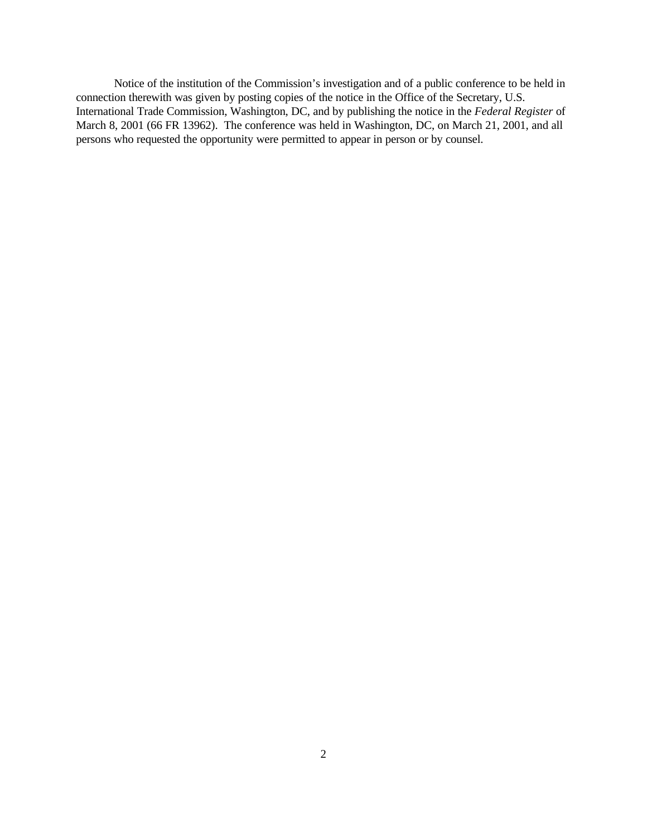Notice of the institution of the Commission's investigation and of a public conference to be held in connection therewith was given by posting copies of the notice in the Office of the Secretary, U.S. International Trade Commission, Washington, DC, and by publishing the notice in the *Federal Register* of March 8, 2001 (66 FR 13962). The conference was held in Washington, DC, on March 21, 2001, and all persons who requested the opportunity were permitted to appear in person or by counsel.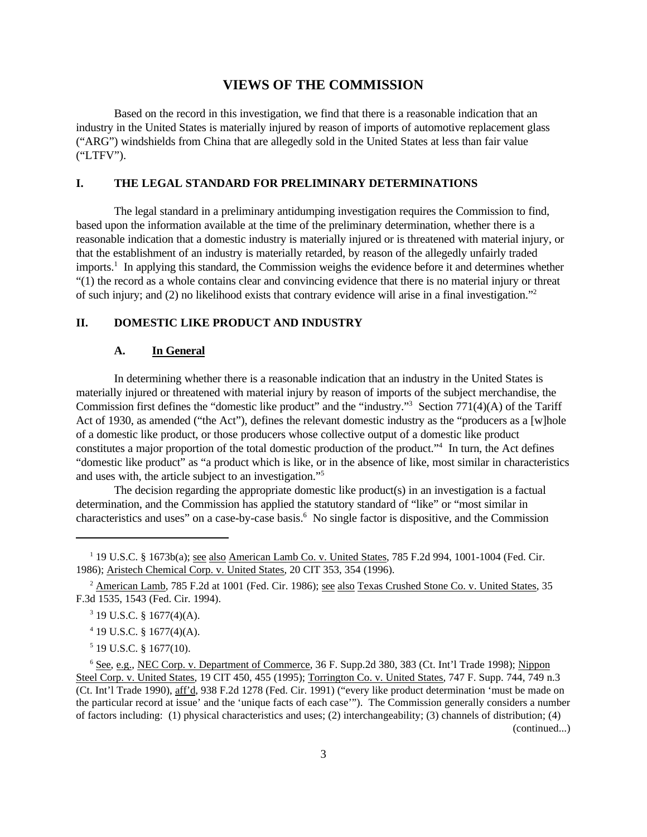## **VIEWS OF THE COMMISSION**

Based on the record in this investigation, we find that there is a reasonable indication that an industry in the United States is materially injured by reason of imports of automotive replacement glass ("ARG") windshields from China that are allegedly sold in the United States at less than fair value ("LTFV").

## **I. THE LEGAL STANDARD FOR PRELIMINARY DETERMINATIONS**

The legal standard in a preliminary antidumping investigation requires the Commission to find, based upon the information available at the time of the preliminary determination, whether there is a reasonable indication that a domestic industry is materially injured or is threatened with material injury, or that the establishment of an industry is materially retarded, by reason of the allegedly unfairly traded imports.<sup>1</sup> In applying this standard, the Commission weighs the evidence before it and determines whether "(1) the record as a whole contains clear and convincing evidence that there is no material injury or threat of such injury; and (2) no likelihood exists that contrary evidence will arise in a final investigation."<sup>2</sup>

## **II. DOMESTIC LIKE PRODUCT AND INDUSTRY**

#### **A. In General**

In determining whether there is a reasonable indication that an industry in the United States is materially injured or threatened with material injury by reason of imports of the subject merchandise, the Commission first defines the "domestic like product" and the "industry."<sup>3</sup> Section 771(4)(A) of the Tariff Act of 1930, as amended ("the Act"), defines the relevant domestic industry as the "producers as a [w]hole of a domestic like product, or those producers whose collective output of a domestic like product constitutes a major proportion of the total domestic production of the product."<sup>4</sup> In turn, the Act defines "domestic like product" as "a product which is like, or in the absence of like, most similar in characteristics and uses with, the article subject to an investigation."<sup>5</sup>

The decision regarding the appropriate domestic like product(s) in an investigation is a factual determination, and the Commission has applied the statutory standard of "like" or "most similar in characteristics and uses" on a case-by-case basis.<sup>6</sup> No single factor is dispositive, and the Commission

 $5$  19 U.S.C. § 1677(10).

<sup>&</sup>lt;sup>1</sup> 19 U.S.C. § 1673b(a); <u>see also American Lamb Co. v. United States</u>, 785 F.2d 994, 1001-1004 (Fed. Cir. 1986); Aristech Chemical Corp. v. United States, 20 CIT 353, 354 (1996).

<sup>&</sup>lt;sup>2</sup> American Lamb, 785 F.2d at 1001 (Fed. Cir. 1986); see also Texas Crushed Stone Co. v. United States, 35 F.3d 1535, 1543 (Fed. Cir. 1994).

 $3$  19 U.S.C. § 1677(4)(A).

<sup>4</sup> 19 U.S.C. § 1677(4)(A).

<sup>6</sup> See, e.g., NEC Corp. v. Department of Commerce, 36 F. Supp.2d 380, 383 (Ct. Int'l Trade 1998); Nippon Steel Corp. v. United States, 19 CIT 450, 455 (1995); Torrington Co. v. United States, 747 F. Supp. 744, 749 n.3 (Ct. Int'l Trade 1990), aff'd, 938 F.2d 1278 (Fed. Cir. 1991) ("every like product determination 'must be made on the particular record at issue' and the 'unique facts of each case'"). The Commission generally considers a number of factors including: (1) physical characteristics and uses; (2) interchangeability; (3) channels of distribution; (4) (continued...)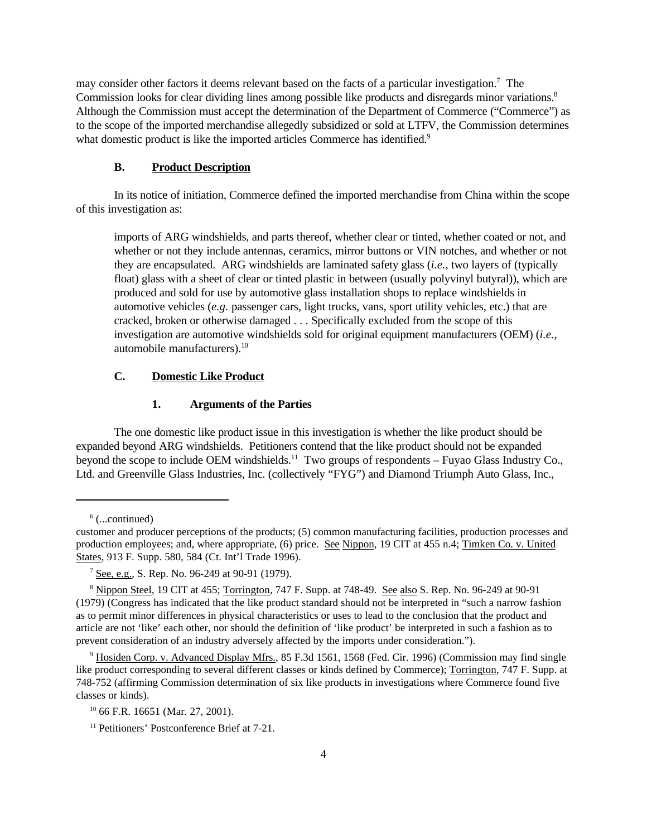may consider other factors it deems relevant based on the facts of a particular investigation.<sup>7</sup> The Commission looks for clear dividing lines among possible like products and disregards minor variations.<sup>8</sup> Although the Commission must accept the determination of the Department of Commerce ("Commerce") as to the scope of the imported merchandise allegedly subsidized or sold at LTFV, the Commission determines what domestic product is like the imported articles Commerce has identified.<sup>9</sup>

#### **B. Product Description**

In its notice of initiation, Commerce defined the imported merchandise from China within the scope of this investigation as:

imports of ARG windshields, and parts thereof, whether clear or tinted, whether coated or not, and whether or not they include antennas, ceramics, mirror buttons or VIN notches, and whether or not they are encapsulated. ARG windshields are laminated safety glass (*i.e.*, two layers of (typically float) glass with a sheet of clear or tinted plastic in between (usually polyvinyl butyral)), which are produced and sold for use by automotive glass installation shops to replace windshields in automotive vehicles  $(e.g.$  passenger cars, light trucks, vans, sport utility vehicles, etc.) that are cracked, broken or otherwise damaged . . . Specifically excluded from the scope of this investigation are automotive windshields sold for original equipment manufacturers (OEM) (*i.e.*, automobile manufacturers).<sup>10</sup>

#### **C. Domestic Like Product**

#### **1. Arguments of the Parties**

The one domestic like product issue in this investigation is whether the like product should be expanded beyond ARG windshields. Petitioners contend that the like product should not be expanded beyond the scope to include OEM windshields.<sup>11</sup> Two groups of respondents – Fuyao Glass Industry Co., Ltd. and Greenville Glass Industries, Inc. (collectively "FYG") and Diamond Triumph Auto Glass, Inc.,

6 (...continued)

customer and producer perceptions of the products; (5) common manufacturing facilities, production processes and production employees; and, where appropriate, (6) price. See Nippon, 19 CIT at 455 n.4; Timken Co. v. United States, 913 F. Supp. 580, 584 (Ct. Int'l Trade 1996).

<sup>&</sup>lt;sup>7</sup> See, e.g., S. Rep. No. 96-249 at 90-91 (1979).

<sup>&</sup>lt;sup>8</sup> Nippon Steel, 19 CIT at 455; Torrington, 747 F. Supp. at 748-49. See also S. Rep. No. 96-249 at 90-91 (1979) (Congress has indicated that the like product standard should not be interpreted in "such a narrow fashion as to permit minor differences in physical characteristics or uses to lead to the conclusion that the product and article are not 'like' each other, nor should the definition of 'like product' be interpreted in such a fashion as to prevent consideration of an industry adversely affected by the imports under consideration.").

<sup>&</sup>lt;sup>9</sup> Hosiden Corp. v. Advanced Display Mfrs., 85 F.3d 1561, 1568 (Fed. Cir. 1996) (Commission may find single like product corresponding to several different classes or kinds defined by Commerce); Torrington, 747 F. Supp. at 748-752 (affirming Commission determination of six like products in investigations where Commerce found five classes or kinds).

 $10\,66$  F.R. 16651 (Mar. 27, 2001).

<sup>&</sup>lt;sup>11</sup> Petitioners' Postconference Brief at 7-21.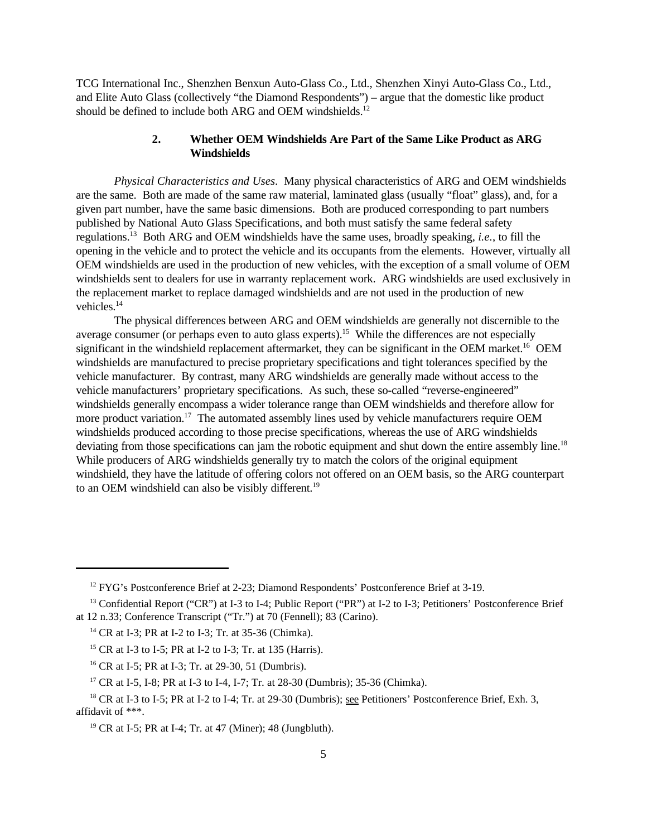TCG International Inc., Shenzhen Benxun Auto-Glass Co., Ltd., Shenzhen Xinyi Auto-Glass Co., Ltd., and Elite Auto Glass (collectively "the Diamond Respondents") – argue that the domestic like product should be defined to include both ARG and OEM windshields.<sup>12</sup>

# **2. Whether OEM Windshields Are Part of the Same Like Product as ARG Windshields**

*Physical Characteristics and Uses*. Many physical characteristics of ARG and OEM windshields are the same. Both are made of the same raw material, laminated glass (usually "float" glass), and, for a given part number, have the same basic dimensions. Both are produced corresponding to part numbers published by National Auto Glass Specifications, and both must satisfy the same federal safety regulations.<sup>13</sup> Both ARG and OEM windshields have the same uses, broadly speaking, *i.e.*, to fill the opening in the vehicle and to protect the vehicle and its occupants from the elements. However, virtually all OEM windshields are used in the production of new vehicles, with the exception of a small volume of OEM windshields sent to dealers for use in warranty replacement work. ARG windshields are used exclusively in the replacement market to replace damaged windshields and are not used in the production of new vehicles.<sup>14</sup>

The physical differences between ARG and OEM windshields are generally not discernible to the average consumer (or perhaps even to auto glass experts).<sup>15</sup> While the differences are not especially significant in the windshield replacement aftermarket, they can be significant in the OEM market.<sup>16</sup> OEM windshields are manufactured to precise proprietary specifications and tight tolerances specified by the vehicle manufacturer. By contrast, many ARG windshields are generally made without access to the vehicle manufacturers' proprietary specifications. As such, these so-called "reverse-engineered" windshields generally encompass a wider tolerance range than OEM windshields and therefore allow for more product variation.<sup>17</sup> The automated assembly lines used by vehicle manufacturers require OEM windshields produced according to those precise specifications, whereas the use of ARG windshields deviating from those specifications can jam the robotic equipment and shut down the entire assembly line.<sup>18</sup> While producers of ARG windshields generally try to match the colors of the original equipment windshield, they have the latitude of offering colors not offered on an OEM basis, so the ARG counterpart to an OEM windshield can also be visibly different.<sup>19</sup>

<sup>&</sup>lt;sup>12</sup> FYG's Postconference Brief at 2-23; Diamond Respondents' Postconference Brief at 3-19.

<sup>&</sup>lt;sup>13</sup> Confidential Report ("CR") at I-3 to I-4; Public Report ("PR") at I-2 to I-3; Petitioners' Postconference Brief at 12 n.33; Conference Transcript ("Tr.") at 70 (Fennell); 83 (Carino).

<sup>14</sup> CR at I-3; PR at I-2 to I-3; Tr. at 35-36 (Chimka).

<sup>15</sup> CR at I-3 to I-5; PR at I-2 to I-3; Tr. at 135 (Harris).

<sup>16</sup> CR at I-5; PR at I-3; Tr. at 29-30, 51 (Dumbris).

<sup>17</sup> CR at I-5, I-8; PR at I-3 to I-4, I-7; Tr. at 28-30 (Dumbris); 35-36 (Chimka).

<sup>&</sup>lt;sup>18</sup> CR at I-3 to I-5; PR at I-2 to I-4; Tr. at 29-30 (Dumbris); see Petitioners' Postconference Brief, Exh. 3, affidavit of \*\*\*.

 $19$  CR at I-5; PR at I-4; Tr. at 47 (Miner); 48 (Jungbluth).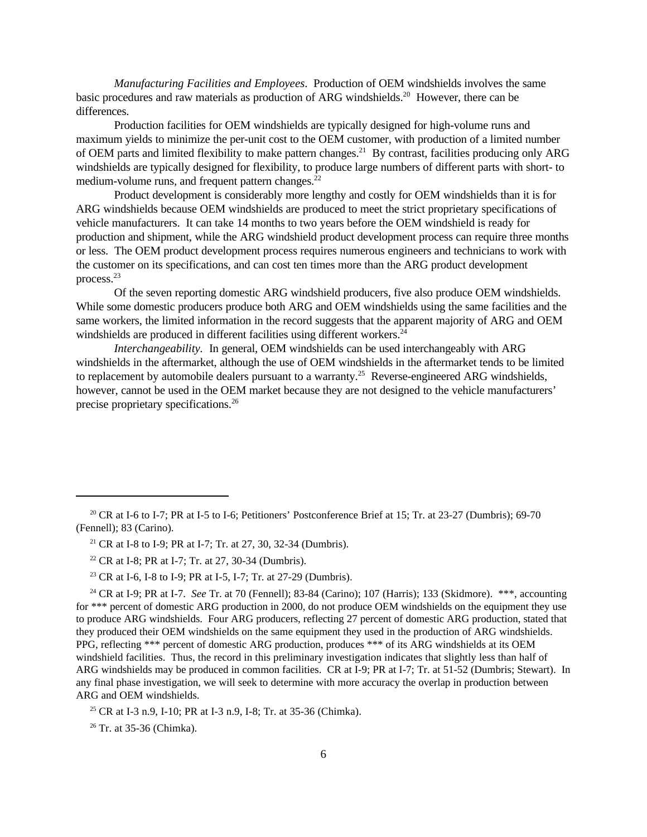*Manufacturing Facilities and Employees*. Production of OEM windshields involves the same basic procedures and raw materials as production of ARG windshields.<sup>20</sup> However, there can be differences.

Production facilities for OEM windshields are typically designed for high-volume runs and maximum yields to minimize the per-unit cost to the OEM customer, with production of a limited number of OEM parts and limited flexibility to make pattern changes.<sup>21</sup> By contrast, facilities producing only ARG windshields are typically designed for flexibility, to produce large numbers of different parts with short- to medium-volume runs, and frequent pattern changes.<sup>22</sup>

Product development is considerably more lengthy and costly for OEM windshields than it is for ARG windshields because OEM windshields are produced to meet the strict proprietary specifications of vehicle manufacturers. It can take 14 months to two years before the OEM windshield is ready for production and shipment, while the ARG windshield product development process can require three months or less. The OEM product development process requires numerous engineers and technicians to work with the customer on its specifications, and can cost ten times more than the ARG product development process.<sup>23</sup>

Of the seven reporting domestic ARG windshield producers, five also produce OEM windshields. While some domestic producers produce both ARG and OEM windshields using the same facilities and the same workers, the limited information in the record suggests that the apparent majority of ARG and OEM windshields are produced in different facilities using different workers. $^{24}$ 

*Interchangeability.* In general, OEM windshields can be used interchangeably with ARG windshields in the aftermarket, although the use of OEM windshields in the aftermarket tends to be limited to replacement by automobile dealers pursuant to a warranty.<sup>25</sup> Reverse-engineered ARG windshields, however, cannot be used in the OEM market because they are not designed to the vehicle manufacturers' precise proprietary specifications.26

 $26$  Tr. at 35-36 (Chimka).

<sup>&</sup>lt;sup>20</sup> CR at I-6 to I-7; PR at I-5 to I-6; Petitioners' Postconference Brief at 15; Tr. at 23-27 (Dumbris); 69-70 (Fennell); 83 (Carino).

<sup>&</sup>lt;sup>21</sup> CR at I-8 to I-9; PR at I-7; Tr. at 27, 30, 32-34 (Dumbris).

<sup>&</sup>lt;sup>22</sup> CR at I-8; PR at I-7; Tr. at 27, 30-34 (Dumbris).

<sup>&</sup>lt;sup>23</sup> CR at I-6, I-8 to I-9; PR at I-5, I-7; Tr. at 27-29 (Dumbris).

<sup>&</sup>lt;sup>24</sup> CR at I-9; PR at I-7. *See* Tr. at 70 (Fennell); 83-84 (Carino); 107 (Harris); 133 (Skidmore). \*\*\*, accounting for \*\*\* percent of domestic ARG production in 2000, do not produce OEM windshields on the equipment they use to produce ARG windshields. Four ARG producers, reflecting 27 percent of domestic ARG production, stated that they produced their OEM windshields on the same equipment they used in the production of ARG windshields. PPG, reflecting \*\*\* percent of domestic ARG production, produces \*\*\* of its ARG windshields at its OEM windshield facilities. Thus, the record in this preliminary investigation indicates that slightly less than half of ARG windshields may be produced in common facilities. CR at I-9; PR at I-7; Tr. at 51-52 (Dumbris; Stewart). In any final phase investigation, we will seek to determine with more accuracy the overlap in production between ARG and OEM windshields.

<sup>&</sup>lt;sup>25</sup> CR at I-3 n.9, I-10; PR at I-3 n.9, I-8; Tr. at 35-36 (Chimka).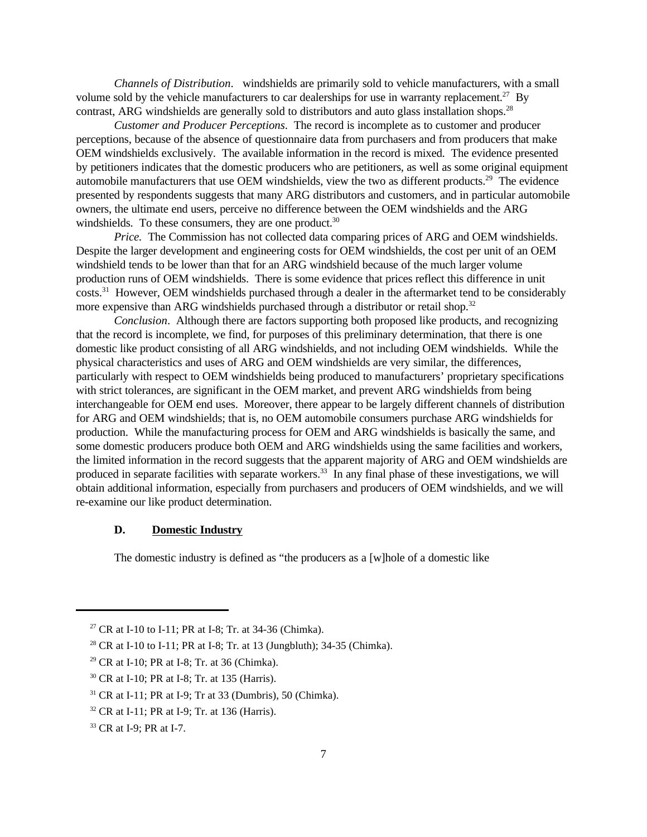*Channels of Distribution*. windshields are primarily sold to vehicle manufacturers, with a small volume sold by the vehicle manufacturers to car dealerships for use in warranty replacement.<sup>27</sup> By contrast, ARG windshields are generally sold to distributors and auto glass installation shops.<sup>28</sup>

*Customer and Producer Perceptions*. The record is incomplete as to customer and producer perceptions, because of the absence of questionnaire data from purchasers and from producers that make OEM windshields exclusively. The available information in the record is mixed. The evidence presented by petitioners indicates that the domestic producers who are petitioners, as well as some original equipment automobile manufacturers that use OEM windshields, view the two as different products.<sup>29</sup> The evidence presented by respondents suggests that many ARG distributors and customers, and in particular automobile owners, the ultimate end users, perceive no difference between the OEM windshields and the ARG windshields. To these consumers, they are one product.<sup>30</sup>

*Price.* The Commission has not collected data comparing prices of ARG and OEM windshields. Despite the larger development and engineering costs for OEM windshields, the cost per unit of an OEM windshield tends to be lower than that for an ARG windshield because of the much larger volume production runs of OEM windshields. There is some evidence that prices reflect this difference in unit costs.<sup>31</sup> However, OEM windshields purchased through a dealer in the aftermarket tend to be considerably more expensive than ARG windshields purchased through a distributor or retail shop.<sup>32</sup>

*Conclusion*. Although there are factors supporting both proposed like products, and recognizing that the record is incomplete, we find, for purposes of this preliminary determination, that there is one domestic like product consisting of all ARG windshields, and not including OEM windshields. While the physical characteristics and uses of ARG and OEM windshields are very similar, the differences, particularly with respect to OEM windshields being produced to manufacturers' proprietary specifications with strict tolerances, are significant in the OEM market, and prevent ARG windshields from being interchangeable for OEM end uses. Moreover, there appear to be largely different channels of distribution for ARG and OEM windshields; that is, no OEM automobile consumers purchase ARG windshields for production. While the manufacturing process for OEM and ARG windshields is basically the same, and some domestic producers produce both OEM and ARG windshields using the same facilities and workers, the limited information in the record suggests that the apparent majority of ARG and OEM windshields are produced in separate facilities with separate workers.<sup>33</sup> In any final phase of these investigations, we will obtain additional information, especially from purchasers and producers of OEM windshields, and we will re-examine our like product determination.

### **D. Domestic Industry**

The domestic industry is defined as "the producers as a [w]hole of a domestic like

<sup>&</sup>lt;sup>27</sup> CR at I-10 to I-11; PR at I-8; Tr. at 34-36 (Chimka).

<sup>28</sup> CR at I-10 to I-11; PR at I-8; Tr. at 13 (Jungbluth); 34-35 (Chimka).

<sup>29</sup> CR at I-10; PR at I-8; Tr. at 36 (Chimka).

<sup>30</sup> CR at I-10; PR at I-8; Tr. at 135 (Harris).

 $31$  CR at I-11; PR at I-9; Tr at 33 (Dumbris), 50 (Chimka).

<sup>32</sup> CR at I-11; PR at I-9; Tr. at 136 (Harris).

<sup>&</sup>lt;sup>33</sup> CR at I-9; PR at I-7.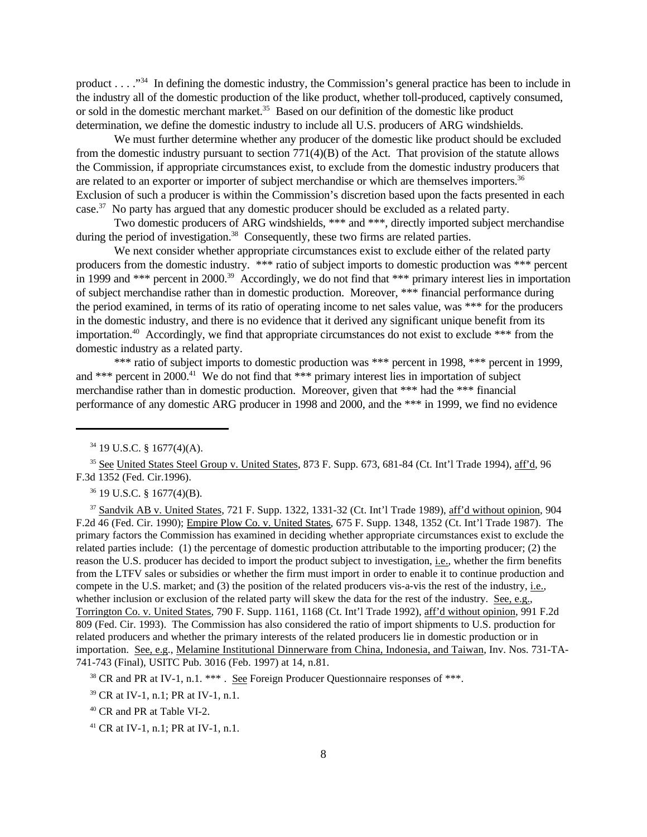product . . . ."<sup>34</sup> In defining the domestic industry, the Commission's general practice has been to include in the industry all of the domestic production of the like product, whether toll-produced, captively consumed, or sold in the domestic merchant market.<sup>35</sup> Based on our definition of the domestic like product determination, we define the domestic industry to include all U.S. producers of ARG windshields.

We must further determine whether any producer of the domestic like product should be excluded from the domestic industry pursuant to section 771(4)(B) of the Act. That provision of the statute allows the Commission, if appropriate circumstances exist, to exclude from the domestic industry producers that are related to an exporter or importer of subject merchandise or which are themselves importers.<sup>36</sup> Exclusion of such a producer is within the Commission's discretion based upon the facts presented in each case.<sup>37</sup> No party has argued that any domestic producer should be excluded as a related party.

Two domestic producers of ARG windshields, \*\*\* and \*\*\*, directly imported subject merchandise during the period of investigation.<sup>38</sup> Consequently, these two firms are related parties.

We next consider whether appropriate circumstances exist to exclude either of the related party producers from the domestic industry. \*\*\* ratio of subject imports to domestic production was \*\*\* percent in 1999 and \*\*\* percent in 2000.<sup>39</sup> Accordingly, we do not find that \*\*\* primary interest lies in importation of subject merchandise rather than in domestic production. Moreover, \*\*\* financial performance during the period examined, in terms of its ratio of operating income to net sales value, was \*\*\* for the producers in the domestic industry, and there is no evidence that it derived any significant unique benefit from its importation.<sup>40</sup> Accordingly, we find that appropriate circumstances do not exist to exclude \*\*\* from the domestic industry as a related party.

\*\*\* ratio of subject imports to domestic production was \*\*\* percent in 1998, \*\*\* percent in 1999, and \*\*\* percent in 2000.<sup>41</sup> We do not find that \*\*\* primary interest lies in importation of subject merchandise rather than in domestic production. Moreover, given that \*\*\* had the \*\*\* financial performance of any domestic ARG producer in 1998 and 2000, and the \*\*\* in 1999, we find no evidence

<sup>36</sup> 19 U.S.C. § 1677(4)(B).

<sup>37</sup> Sandvik AB v. United States, 721 F. Supp. 1322, 1331-32 (Ct. Int'l Trade 1989), aff'd without opinion, 904 F.2d 46 (Fed. Cir. 1990); Empire Plow Co. v. United States, 675 F. Supp. 1348, 1352 (Ct. Int'l Trade 1987). The primary factors the Commission has examined in deciding whether appropriate circumstances exist to exclude the related parties include: (1) the percentage of domestic production attributable to the importing producer; (2) the reason the U.S. producer has decided to import the product subject to investigation, i.e., whether the firm benefits from the LTFV sales or subsidies or whether the firm must import in order to enable it to continue production and compete in the U.S. market; and (3) the position of the related producers vis-a-vis the rest of the industry, i.e., whether inclusion or exclusion of the related party will skew the data for the rest of the industry. See, e.g., Torrington Co. v. United States, 790 F. Supp. 1161, 1168 (Ct. Int'l Trade 1992), aff'd without opinion, 991 F.2d 809 (Fed. Cir. 1993). The Commission has also considered the ratio of import shipments to U.S. production for related producers and whether the primary interests of the related producers lie in domestic production or in importation. See, e.g., Melamine Institutional Dinnerware from China, Indonesia, and Taiwan, Inv. Nos. 731-TA-741-743 (Final), USITC Pub. 3016 (Feb. 1997) at 14, n.81.

 $38$  CR and PR at IV-1, n.1. \*\*\* . See Foreign Producer Questionnaire responses of \*\*\*.

<sup>34</sup> 19 U.S.C. § 1677(4)(A).

<sup>&</sup>lt;sup>35</sup> See United States Steel Group v. United States, 873 F. Supp. 673, 681-84 (Ct. Int'l Trade 1994), aff'd, 96 F.3d 1352 (Fed. Cir.1996).

<sup>39</sup> CR at IV-1, n.1; PR at IV-1, n.1.

<sup>40</sup> CR and PR at Table VI-2.

<sup>41</sup> CR at IV-1, n.1; PR at IV-1, n.1.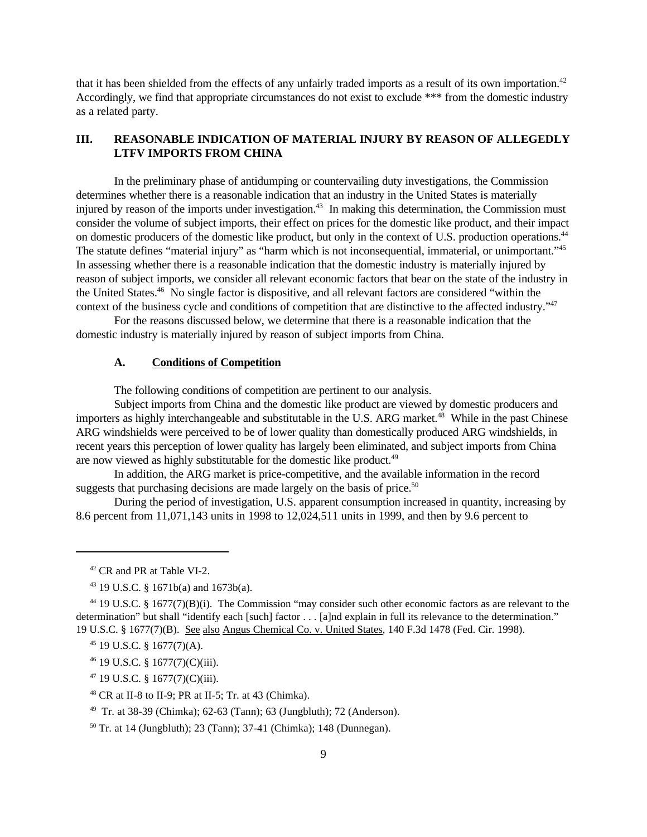that it has been shielded from the effects of any unfairly traded imports as a result of its own importation.<sup>42</sup> Accordingly, we find that appropriate circumstances do not exist to exclude \*\*\* from the domestic industry as a related party.

# **III. REASONABLE INDICATION OF MATERIAL INJURY BY REASON OF ALLEGEDLY LTFV IMPORTS FROM CHINA**

In the preliminary phase of antidumping or countervailing duty investigations, the Commission determines whether there is a reasonable indication that an industry in the United States is materially injured by reason of the imports under investigation.<sup>43</sup> In making this determination, the Commission must consider the volume of subject imports, their effect on prices for the domestic like product, and their impact on domestic producers of the domestic like product, but only in the context of U.S. production operations.<sup>44</sup> The statute defines "material injury" as "harm which is not inconsequential, immaterial, or unimportant."<sup>45</sup> In assessing whether there is a reasonable indication that the domestic industry is materially injured by reason of subject imports, we consider all relevant economic factors that bear on the state of the industry in the United States.<sup>46</sup> No single factor is dispositive, and all relevant factors are considered "within the context of the business cycle and conditions of competition that are distinctive to the affected industry."<sup>47</sup>

For the reasons discussed below, we determine that there is a reasonable indication that the domestic industry is materially injured by reason of subject imports from China.

#### **A. Conditions of Competition**

The following conditions of competition are pertinent to our analysis.

Subject imports from China and the domestic like product are viewed by domestic producers and importers as highly interchangeable and substitutable in the U.S. ARG market.<sup>48</sup> While in the past Chinese ARG windshields were perceived to be of lower quality than domestically produced ARG windshields, in recent years this perception of lower quality has largely been eliminated, and subject imports from China are now viewed as highly substitutable for the domestic like product.<sup>49</sup>

In addition, the ARG market is price-competitive, and the available information in the record suggests that purchasing decisions are made largely on the basis of price. $50$ 

During the period of investigation, U.S. apparent consumption increased in quantity, increasing by 8.6 percent from 11,071,143 units in 1998 to 12,024,511 units in 1999, and then by 9.6 percent to

- <sup>47</sup> 19 U.S.C. § 1677(7)(C)(iii).
- <sup>48</sup> CR at II-8 to II-9; PR at II-5; Tr. at 43 (Chimka).

<sup>42</sup> CR and PR at Table VI-2.

<sup>43</sup> 19 U.S.C. § 1671b(a) and 1673b(a).

<sup>44</sup> 19 U.S.C. § 1677(7)(B)(i). The Commission "may consider such other economic factors as are relevant to the determination" but shall "identify each [such] factor . . . [a]nd explain in full its relevance to the determination." 19 U.S.C. § 1677(7)(B). See also Angus Chemical Co. v. United States, 140 F.3d 1478 (Fed. Cir. 1998).

<sup>45</sup> 19 U.S.C. § 1677(7)(A).

<sup>46</sup> 19 U.S.C. § 1677(7)(C)(iii).

<sup>49</sup> Tr. at 38-39 (Chimka); 62-63 (Tann); 63 (Jungbluth); 72 (Anderson).

<sup>50</sup> Tr. at 14 (Jungbluth); 23 (Tann); 37-41 (Chimka); 148 (Dunnegan).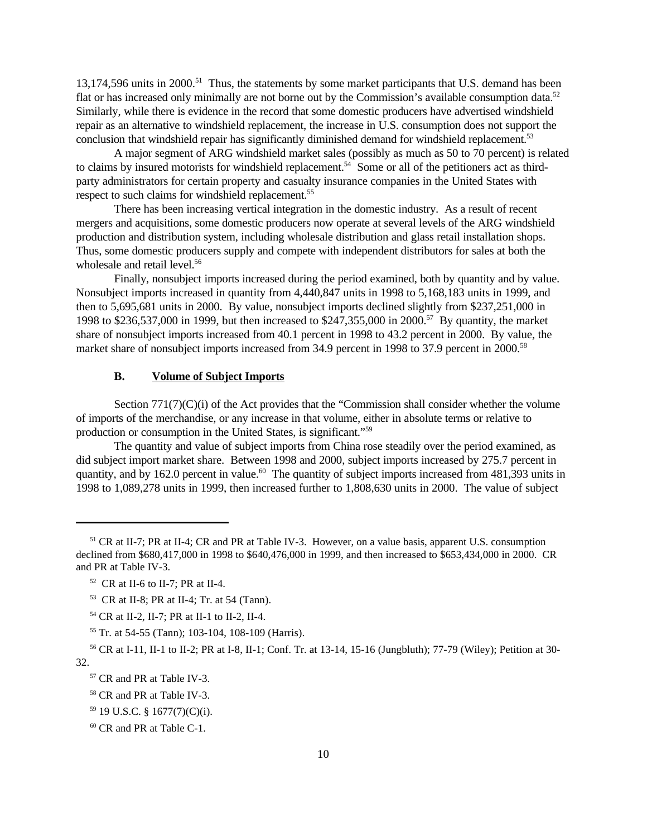13,174,596 units in 2000.<sup>51</sup> Thus, the statements by some market participants that U.S. demand has been flat or has increased only minimally are not borne out by the Commission's available consumption data.<sup>52</sup> Similarly, while there is evidence in the record that some domestic producers have advertised windshield repair as an alternative to windshield replacement, the increase in U.S. consumption does not support the conclusion that windshield repair has significantly diminished demand for windshield replacement.<sup>53</sup>

A major segment of ARG windshield market sales (possibly as much as 50 to 70 percent) is related to claims by insured motorists for windshield replacement.<sup>54</sup> Some or all of the petitioners act as thirdparty administrators for certain property and casualty insurance companies in the United States with respect to such claims for windshield replacement.<sup>55</sup>

There has been increasing vertical integration in the domestic industry. As a result of recent mergers and acquisitions, some domestic producers now operate at several levels of the ARG windshield production and distribution system, including wholesale distribution and glass retail installation shops. Thus, some domestic producers supply and compete with independent distributors for sales at both the wholesale and retail level.<sup>56</sup>

Finally, nonsubject imports increased during the period examined, both by quantity and by value. Nonsubject imports increased in quantity from 4,440,847 units in 1998 to 5,168,183 units in 1999, and then to 5,695,681 units in 2000. By value, nonsubject imports declined slightly from \$237,251,000 in 1998 to \$236,537,000 in 1999, but then increased to \$247,355,000 in 2000.<sup>57</sup> By quantity, the market share of nonsubject imports increased from 40.1 percent in 1998 to 43.2 percent in 2000. By value, the market share of nonsubject imports increased from 34.9 percent in 1998 to 37.9 percent in 2000.<sup>58</sup>

#### **B. Volume of Subject Imports**

Section 771(7)(C)(i) of the Act provides that the "Commission shall consider whether the volume of imports of the merchandise, or any increase in that volume, either in absolute terms or relative to production or consumption in the United States, is significant."<sup>59</sup>

The quantity and value of subject imports from China rose steadily over the period examined, as did subject import market share. Between 1998 and 2000, subject imports increased by 275.7 percent in quantity, and by 162.0 percent in value.<sup>60</sup> The quantity of subject imports increased from 481,393 units in 1998 to 1,089,278 units in 1999, then increased further to 1,808,630 units in 2000. The value of subject

<sup>51</sup> CR at II-7; PR at II-4; CR and PR at Table IV-3. However, on a value basis, apparent U.S. consumption declined from \$680,417,000 in 1998 to \$640,476,000 in 1999, and then increased to \$653,434,000 in 2000. CR and PR at Table IV-3.

 $52$  CR at II-6 to II-7; PR at II-4.

<sup>53</sup> CR at II-8; PR at II-4; Tr. at 54 (Tann).

<sup>54</sup> CR at II-2, II-7; PR at II-1 to II-2, II-4.

<sup>55</sup> Tr. at 54-55 (Tann); 103-104, 108-109 (Harris).

<sup>56</sup> CR at I-11, II-1 to II-2; PR at I-8, II-1; Conf. Tr. at 13-14, 15-16 (Jungbluth); 77-79 (Wiley); Petition at 30- 32.

<sup>&</sup>lt;sup>57</sup> CR and PR at Table IV-3.

<sup>58</sup> CR and PR at Table IV-3.

<sup>59</sup> 19 U.S.C. § 1677(7)(C)(i).

<sup>60</sup> CR and PR at Table C-1.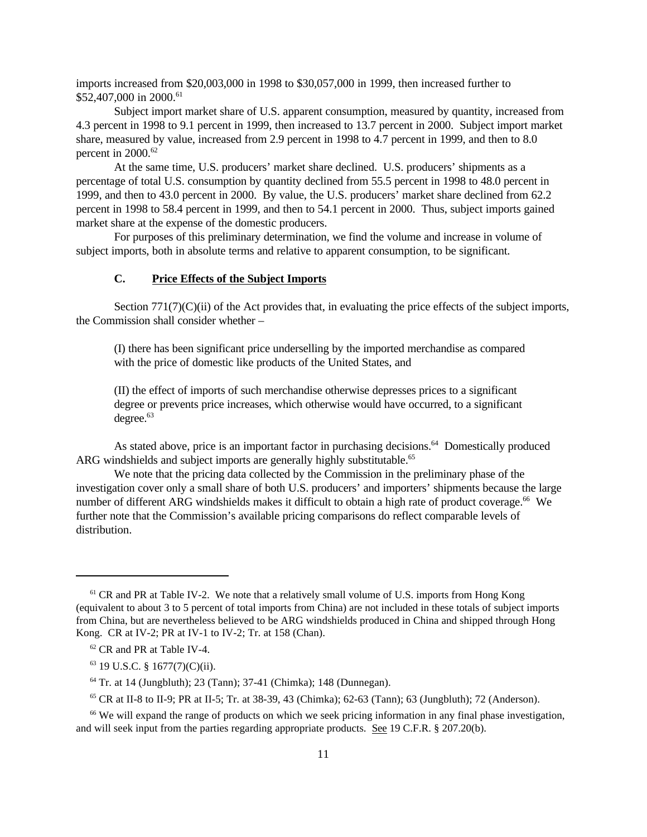imports increased from \$20,003,000 in 1998 to \$30,057,000 in 1999, then increased further to \$52,407,000 in 2000.<sup>61</sup>

Subject import market share of U.S. apparent consumption, measured by quantity, increased from 4.3 percent in 1998 to 9.1 percent in 1999, then increased to 13.7 percent in 2000. Subject import market share, measured by value, increased from 2.9 percent in 1998 to 4.7 percent in 1999, and then to 8.0 percent in 2000.<sup>62</sup>

At the same time, U.S. producers' market share declined. U.S. producers' shipments as a percentage of total U.S. consumption by quantity declined from 55.5 percent in 1998 to 48.0 percent in 1999, and then to 43.0 percent in 2000. By value, the U.S. producers' market share declined from 62.2 percent in 1998 to 58.4 percent in 1999, and then to 54.1 percent in 2000. Thus, subject imports gained market share at the expense of the domestic producers.

For purposes of this preliminary determination, we find the volume and increase in volume of subject imports, both in absolute terms and relative to apparent consumption, to be significant.

# **C. Price Effects of the Subject Imports**

Section 771(7)(C)(ii) of the Act provides that, in evaluating the price effects of the subject imports, the Commission shall consider whether –

(I) there has been significant price underselling by the imported merchandise as compared with the price of domestic like products of the United States, and

(II) the effect of imports of such merchandise otherwise depresses prices to a significant degree or prevents price increases, which otherwise would have occurred, to a significant  $degree<sup>63</sup>$ 

As stated above, price is an important factor in purchasing decisions.<sup>64</sup> Domestically produced ARG windshields and subject imports are generally highly substitutable.<sup>65</sup>

We note that the pricing data collected by the Commission in the preliminary phase of the investigation cover only a small share of both U.S. producers' and importers' shipments because the large number of different ARG windshields makes it difficult to obtain a high rate of product coverage.<sup>66</sup> We further note that the Commission's available pricing comparisons do reflect comparable levels of distribution.

 $61$  CR and PR at Table IV-2. We note that a relatively small volume of U.S. imports from Hong Kong (equivalent to about 3 to 5 percent of total imports from China) are not included in these totals of subject imports from China, but are nevertheless believed to be ARG windshields produced in China and shipped through Hong Kong. CR at IV-2; PR at IV-1 to IV-2; Tr. at 158 (Chan).

<sup>62</sup> CR and PR at Table IV-4.

 $63$  19 U.S.C. § 1677(7)(C)(ii).

<sup>64</sup> Tr. at 14 (Jungbluth); 23 (Tann); 37-41 (Chimka); 148 (Dunnegan).

<sup>&</sup>lt;sup>65</sup> CR at II-8 to II-9; PR at II-5; Tr. at 38-39, 43 (Chimka); 62-63 (Tann); 63 (Jungbluth); 72 (Anderson).

<sup>&</sup>lt;sup>66</sup> We will expand the range of products on which we seek pricing information in any final phase investigation, and will seek input from the parties regarding appropriate products. See 19 C.F.R. § 207.20(b).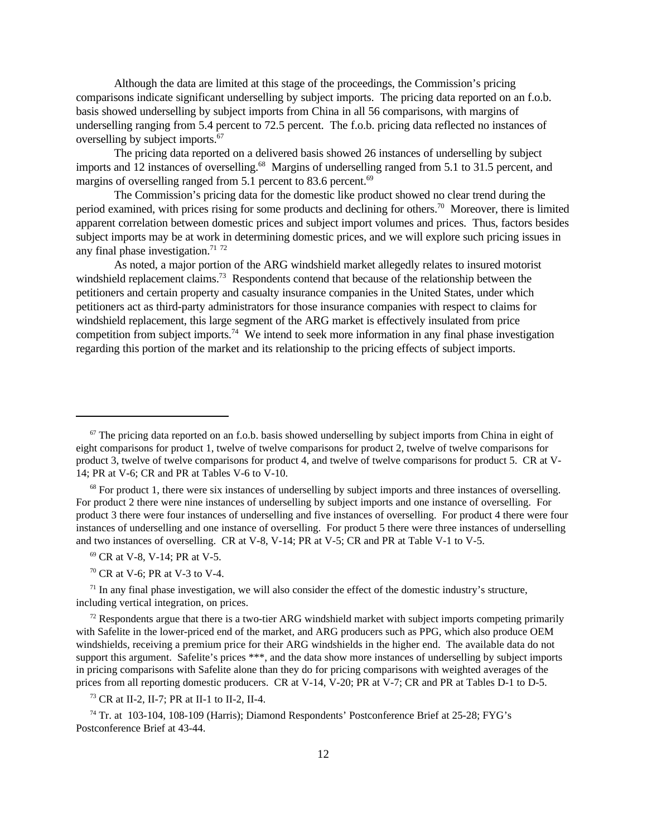Although the data are limited at this stage of the proceedings, the Commission's pricing comparisons indicate significant underselling by subject imports. The pricing data reported on an f.o.b. basis showed underselling by subject imports from China in all 56 comparisons, with margins of underselling ranging from 5.4 percent to 72.5 percent. The f.o.b. pricing data reflected no instances of overselling by subject imports.<sup>67</sup>

The pricing data reported on a delivered basis showed 26 instances of underselling by subject imports and 12 instances of overselling.<sup>68</sup> Margins of underselling ranged from 5.1 to 31.5 percent, and margins of overselling ranged from 5.1 percent to 83.6 percent.<sup>69</sup>

The Commission's pricing data for the domestic like product showed no clear trend during the period examined, with prices rising for some products and declining for others.<sup>70</sup> Moreover, there is limited apparent correlation between domestic prices and subject import volumes and prices. Thus, factors besides subject imports may be at work in determining domestic prices, and we will explore such pricing issues in any final phase investigation.<sup>71 72</sup>

As noted, a major portion of the ARG windshield market allegedly relates to insured motorist windshield replacement claims.<sup>73</sup> Respondents contend that because of the relationship between the petitioners and certain property and casualty insurance companies in the United States, under which petitioners act as third-party administrators for those insurance companies with respect to claims for windshield replacement, this large segment of the ARG market is effectively insulated from price competition from subject imports.<sup>74</sup> We intend to seek more information in any final phase investigation regarding this portion of the market and its relationship to the pricing effects of subject imports.

<sup>73</sup> CR at II-2, II-7; PR at II-1 to II-2, II-4.

<sup>74</sup> Tr. at 103-104, 108-109 (Harris); Diamond Respondents' Postconference Brief at 25-28; FYG's Postconference Brief at 43-44.

 $67$  The pricing data reported on an f.o.b. basis showed underselling by subject imports from China in eight of eight comparisons for product 1, twelve of twelve comparisons for product 2, twelve of twelve comparisons for product 3, twelve of twelve comparisons for product 4, and twelve of twelve comparisons for product 5. CR at V-14; PR at V-6; CR and PR at Tables V-6 to V-10.

<sup>&</sup>lt;sup>68</sup> For product 1, there were six instances of underselling by subject imports and three instances of overselling. For product 2 there were nine instances of underselling by subject imports and one instance of overselling. For product 3 there were four instances of underselling and five instances of overselling. For product 4 there were four instances of underselling and one instance of overselling. For product 5 there were three instances of underselling and two instances of overselling. CR at V-8, V-14; PR at V-5; CR and PR at Table V-1 to V-5.

<sup>69</sup> CR at V-8, V-14; PR at V-5.

 $70$  CR at V-6; PR at V-3 to V-4.

 $71$  In any final phase investigation, we will also consider the effect of the domestic industry's structure, including vertical integration, on prices.

 $72$  Respondents argue that there is a two-tier ARG windshield market with subject imports competing primarily with Safelite in the lower-priced end of the market, and ARG producers such as PPG, which also produce OEM windshields, receiving a premium price for their ARG windshields in the higher end. The available data do not support this argument. Safelite's prices \*\*\*, and the data show more instances of underselling by subject imports in pricing comparisons with Safelite alone than they do for pricing comparisons with weighted averages of the prices from all reporting domestic producers. CR at V-14, V-20; PR at V-7; CR and PR at Tables D-1 to D-5.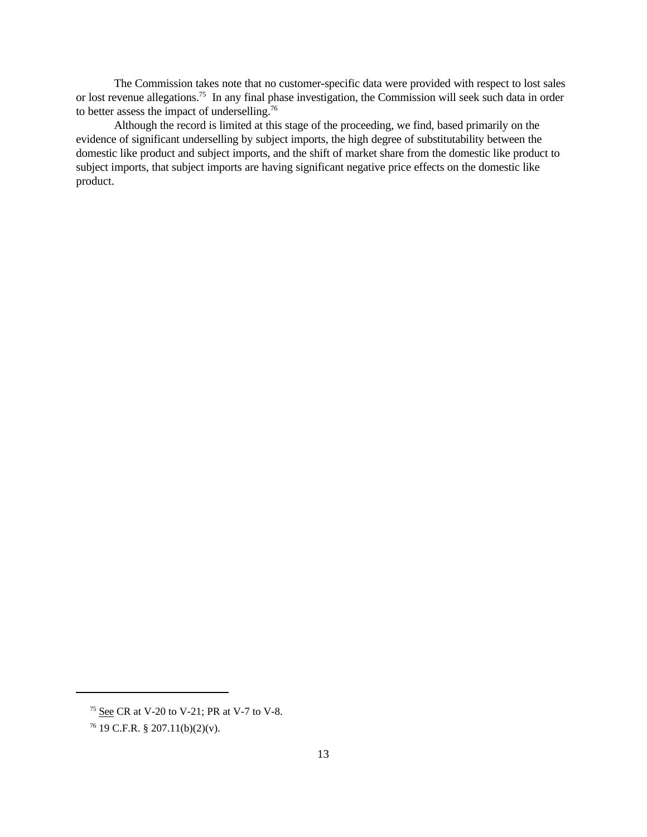The Commission takes note that no customer-specific data were provided with respect to lost sales or lost revenue allegations.<sup>75</sup> In any final phase investigation, the Commission will seek such data in order to better assess the impact of underselling.<sup>76</sup>

Although the record is limited at this stage of the proceeding, we find, based primarily on the evidence of significant underselling by subject imports, the high degree of substitutability between the domestic like product and subject imports, and the shift of market share from the domestic like product to subject imports, that subject imports are having significant negative price effects on the domestic like product.

<sup>75</sup> See CR at V-20 to V-21; PR at V-7 to V-8.

 $76$  19 C.F.R. § 207.11(b)(2)(v).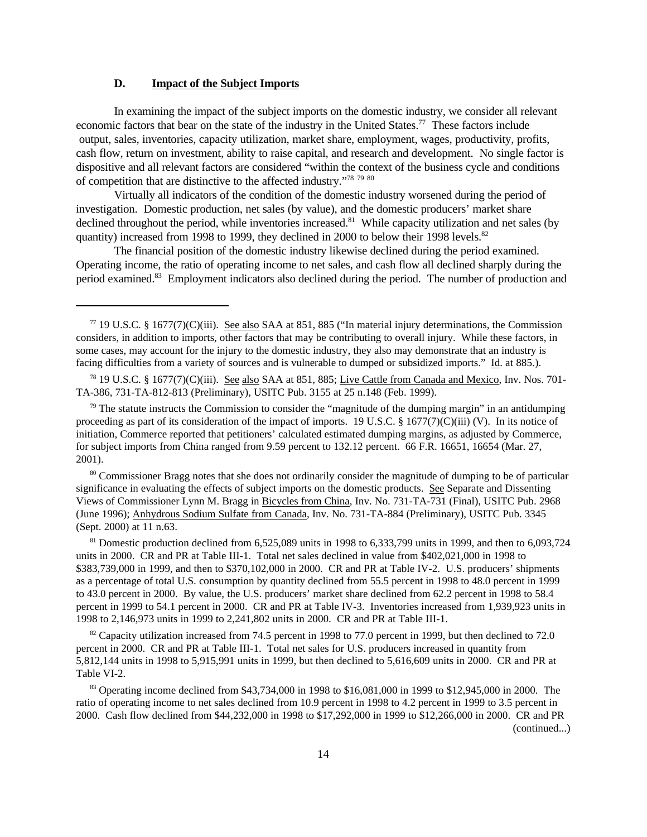## **D. Impact of the Subject Imports**

In examining the impact of the subject imports on the domestic industry, we consider all relevant economic factors that bear on the state of the industry in the United States.<sup>77</sup> These factors include output, sales, inventories, capacity utilization, market share, employment, wages, productivity, profits, cash flow, return on investment, ability to raise capital, and research and development. No single factor is dispositive and all relevant factors are considered "within the context of the business cycle and conditions of competition that are distinctive to the affected industry."<sup>78</sup> <sup>79</sup> <sup>80</sup>

Virtually all indicators of the condition of the domestic industry worsened during the period of investigation. Domestic production, net sales (by value), and the domestic producers' market share declined throughout the period, while inventories increased.<sup>81</sup> While capacity utilization and net sales (by quantity) increased from 1998 to 1999, they declined in 2000 to below their 1998 levels.<sup>82</sup>

The financial position of the domestic industry likewise declined during the period examined. Operating income, the ratio of operating income to net sales, and cash flow all declined sharply during the period examined.<sup>83</sup> Employment indicators also declined during the period. The number of production and

<sup>80</sup> Commissioner Bragg notes that she does not ordinarily consider the magnitude of dumping to be of particular significance in evaluating the effects of subject imports on the domestic products. See Separate and Dissenting Views of Commissioner Lynn M. Bragg in Bicycles from China, Inv. No. 731-TA-731 (Final), USITC Pub. 2968 (June 1996); Anhydrous Sodium Sulfate from Canada, Inv. No. 731-TA-884 (Preliminary), USITC Pub. 3345 (Sept. 2000) at 11 n.63.

<sup>81</sup> Domestic production declined from 6,525,089 units in 1998 to 6,333,799 units in 1999, and then to 6,093,724 units in 2000. CR and PR at Table III-1. Total net sales declined in value from \$402,021,000 in 1998 to \$383,739,000 in 1999, and then to \$370,102,000 in 2000. CR and PR at Table IV-2. U.S. producers' shipments as a percentage of total U.S. consumption by quantity declined from 55.5 percent in 1998 to 48.0 percent in 1999 to 43.0 percent in 2000. By value, the U.S. producers' market share declined from 62.2 percent in 1998 to 58.4 percent in 1999 to 54.1 percent in 2000. CR and PR at Table IV-3. Inventories increased from 1,939,923 units in 1998 to 2,146,973 units in 1999 to 2,241,802 units in 2000. CR and PR at Table III-1.

 $82$  Capacity utilization increased from 74.5 percent in 1998 to 77.0 percent in 1999, but then declined to 72.0 percent in 2000. CR and PR at Table III-1. Total net sales for U.S. producers increased in quantity from 5,812,144 units in 1998 to 5,915,991 units in 1999, but then declined to 5,616,609 units in 2000. CR and PR at Table VI-2.

<sup>83</sup> Operating income declined from \$43,734,000 in 1998 to \$16,081,000 in 1999 to \$12,945,000 in 2000. The ratio of operating income to net sales declined from 10.9 percent in 1998 to 4.2 percent in 1999 to 3.5 percent in 2000. Cash flow declined from \$44,232,000 in 1998 to \$17,292,000 in 1999 to \$12,266,000 in 2000. CR and PR (continued...)

 $77$  19 U.S.C. § 1677(7)(C)(iii). See also SAA at 851, 885 ("In material injury determinations, the Commission considers, in addition to imports, other factors that may be contributing to overall injury. While these factors, in some cases, may account for the injury to the domestic industry, they also may demonstrate that an industry is facing difficulties from a variety of sources and is vulnerable to dumped or subsidized imports." Id. at 885.).

<sup>78</sup> 19 U.S.C. § 1677(7)(C)(iii). See also SAA at 851, 885; Live Cattle from Canada and Mexico, Inv. Nos. 701- TA-386, 731-TA-812-813 (Preliminary), USITC Pub. 3155 at 25 n.148 (Feb. 1999).

 $79$  The statute instructs the Commission to consider the "magnitude of the dumping margin" in an antidumping proceeding as part of its consideration of the impact of imports. 19 U.S.C.  $\S 1677(7)(C)(iii)$  (V). In its notice of initiation, Commerce reported that petitioners' calculated estimated dumping margins, as adjusted by Commerce, for subject imports from China ranged from 9.59 percent to 132.12 percent. 66 F.R. 16651, 16654 (Mar. 27, 2001).